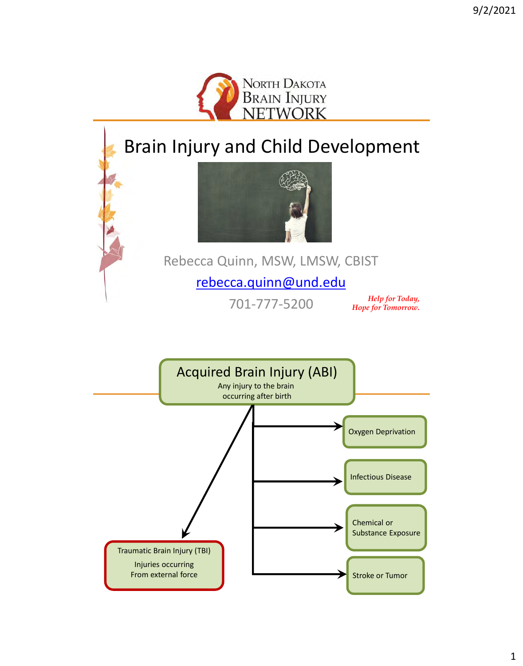

# Brain Injury and Child Development



Rebecca Quinn, MSW, LMSW, CBIST

#### [rebecca.quinn@und.edu](mailto:rebecca.quinn@und.edu)

701-777-5200

*Help for Today, Hope for Tomorrow.*

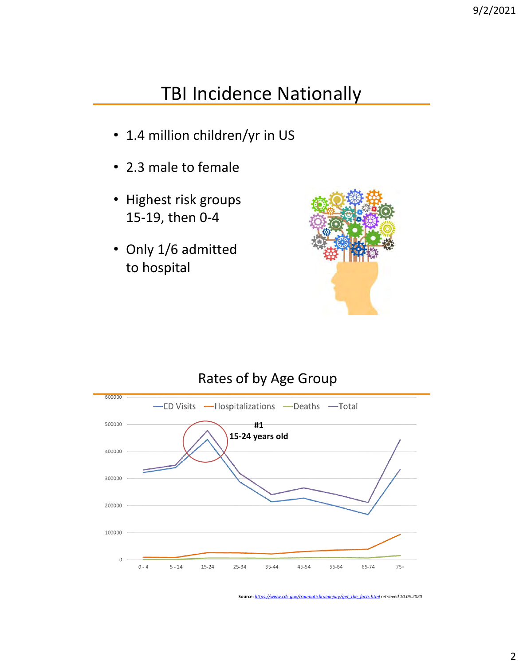## TBI Incidence Nationally

- 1.4 million children/yr in US
- 2.3 male to female
- Highest risk groups 15-19, then 0-4
- Only 1/6 admitted to hospital



#### Rates of by Age Group



**Source:** *[https://www.cdc.gov/traumaticbraininjury/get\\_the\\_facts.html](https://www.cdc.gov/traumaticbraininjury/get_the_facts.html) retrieved 10.05.2020*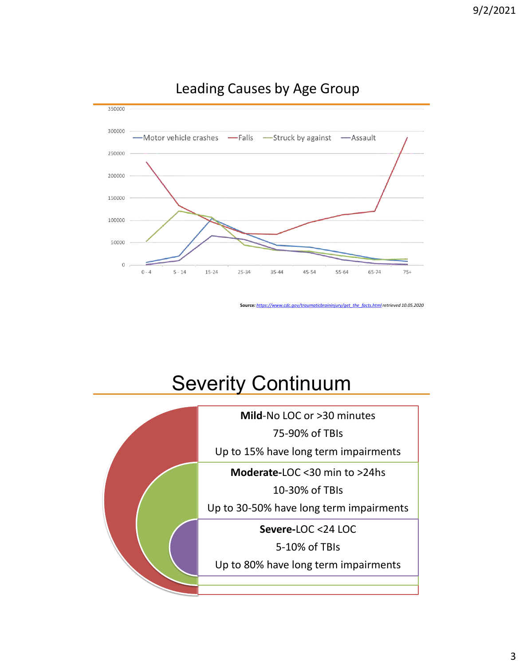

#### Leading Causes by Age Group

**Source***: [https://www.cdc.gov/traumaticbraininjury/get\\_the\\_facts.html](https://www.cdc.gov/traumaticbraininjury/get_the_facts.html) retrieved 10.05.2020*

# **Severity Continuum**

**Mild**-No LOC or >30 minutes

75-90% of TBIs

Up to 15% have long term impairments

**Moderate-**LOC <30 min to >24hs

10-30% of TBIs

Up to 30-50% have long term impairments

**Severe-**LOC <24 LOC

5-10% of TBIs

Up to 80% have long term impairments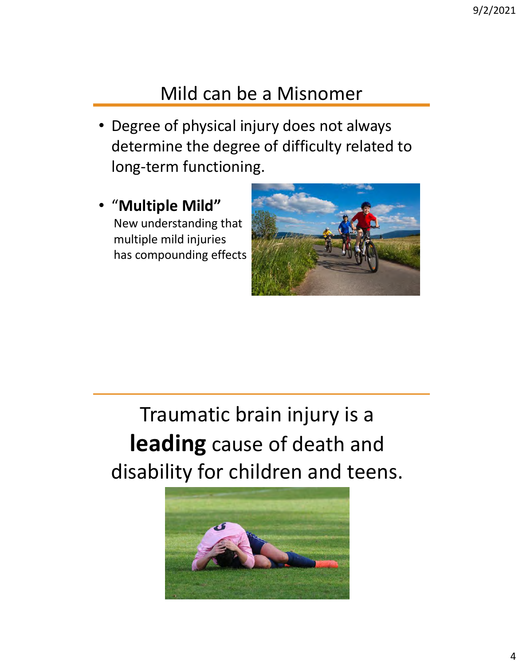# Mild can be a Misnomer

- Degree of physical injury does not always determine the degree of difficulty related to long-term functioning.
- "**Multiple Mild"** New understanding that multiple mild injuries has compounding effects



Traumatic brain injury is a **leading** cause of death and disability for children and teens.

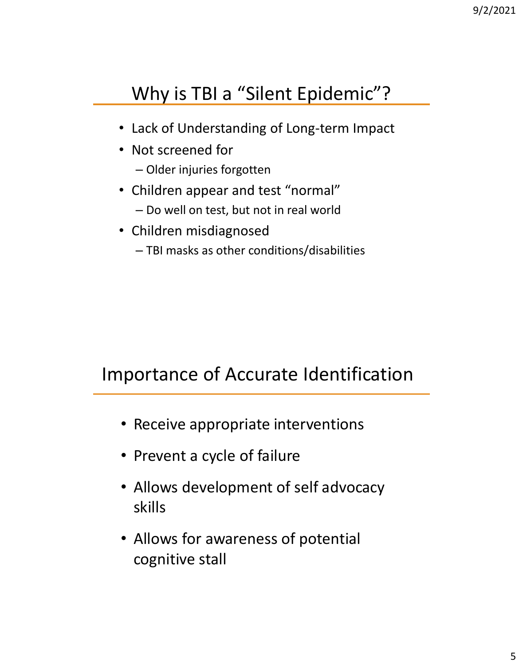# Why is TBI a "Silent Epidemic"?

- Lack of Understanding of Long-term Impact
- Not screened for
	- Older injuries forgotten
- Children appear and test "normal"
	- Do well on test, but not in real world
- Children misdiagnosed
	- TBI masks as other conditions/disabilities

# Importance of Accurate Identification

- Receive appropriate interventions
- Prevent a cycle of failure
- Allows development of self advocacy skills
- Allows for awareness of potential cognitive stall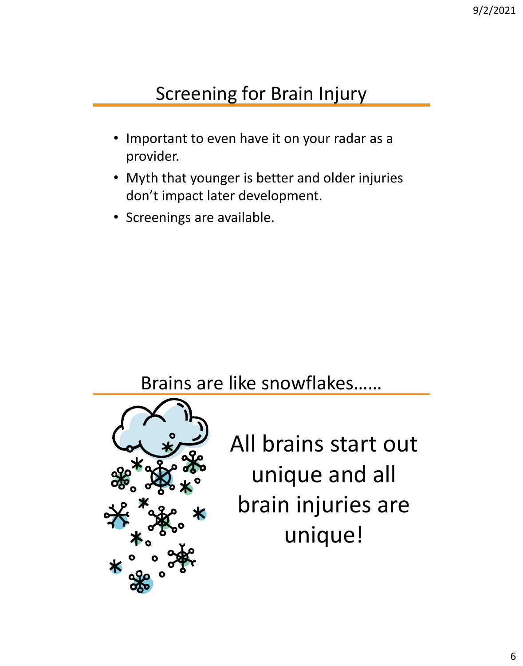# Screening for Brain Injury

- Important to even have it on your radar as a provider.
- Myth that younger is better and older injuries don't impact later development.
- Screenings are available.

Brains are like snowflakes……



All brains start out unique and all brain injuries are unique!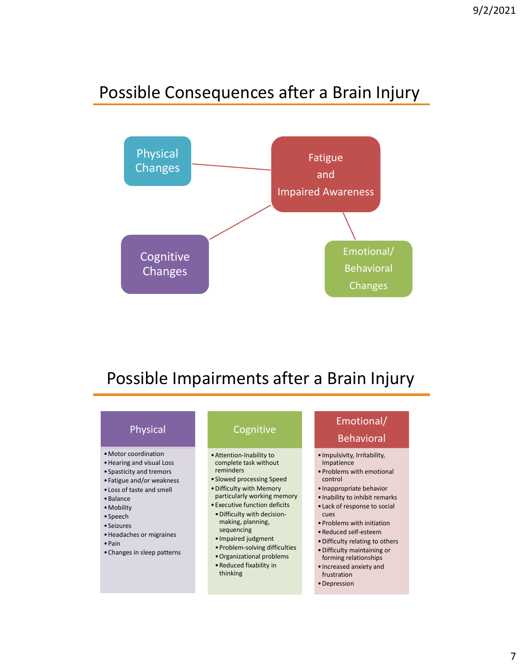#### Possible Consequences after a Brain Injury



#### Possible Impairments after a Brain Injury

| Physical                                                                                                                                                                                                                                                                                  | Cognitive                                                                                                                                                                                                                                                                                                                                                                              | Emotional/<br><b>Behavioral</b>                                                                                                                                                                                                                                                                                                                                                                      |
|-------------------------------------------------------------------------------------------------------------------------------------------------------------------------------------------------------------------------------------------------------------------------------------------|----------------------------------------------------------------------------------------------------------------------------------------------------------------------------------------------------------------------------------------------------------------------------------------------------------------------------------------------------------------------------------------|------------------------------------------------------------------------------------------------------------------------------------------------------------------------------------------------------------------------------------------------------------------------------------------------------------------------------------------------------------------------------------------------------|
| • Motor coordination<br>• Hearing and visual Loss<br>• Spasticity and tremors<br>• Fatigue and/or weakness<br>. Loss of taste and smell<br>$\bullet$ Balance<br>• Mobility<br>$\bullet$ Speech<br>• Seizures<br>• Headaches or migraines<br>$\bullet$ Pain<br>• Changes in sleep patterns | • Attention-Inability to<br>complete task without<br>reminders<br>• Slowed processing Speed<br>• Difficulty with Memory<br>particularly working memory<br>• Executive function deficits<br>. Difficulty with decision-<br>making, planning,<br>sequencing<br>• Impaired judgment<br>• Problem-solving difficulties<br>• Organizational problems<br>• Reduced fixability in<br>thinking | · Impulsivity, Irritability,<br>Impatience<br>• Problems with emotional<br>control<br>• Inappropriate behavior<br>. Inability to inhibit remarks<br>• Lack of response to social<br>cues<br>• Problems with initiation<br>• Reduced self-esteem<br>• Difficulty relating to others<br>• Difficulty maintaining or<br>forming relationships<br>• Increased anxiety and<br>frustration<br>• Depression |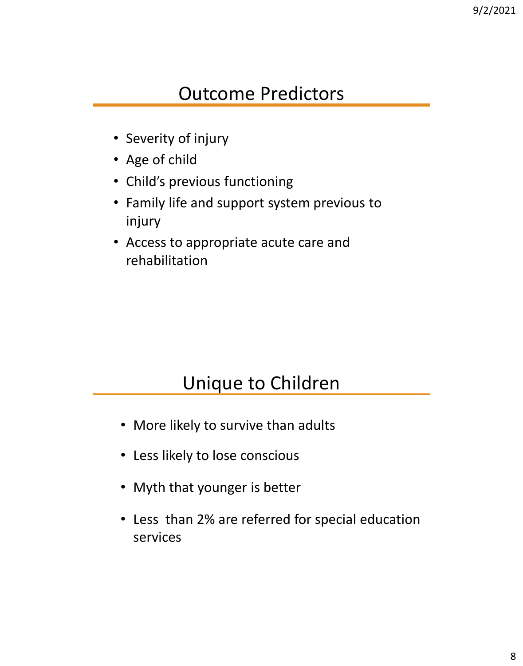## Outcome Predictors

- Severity of injury
- Age of child
- Child's previous functioning
- Family life and support system previous to injury
- Access to appropriate acute care and rehabilitation

## Unique to Children

- More likely to survive than adults
- Less likely to lose conscious
- Myth that younger is better
- Less than 2% are referred for special education services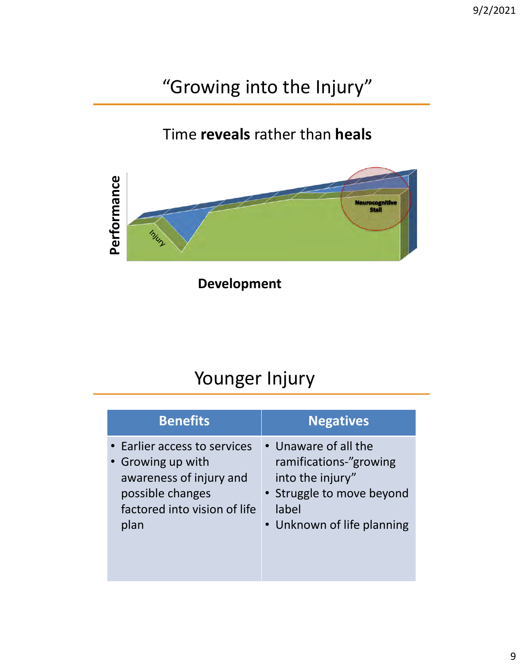# "Growing into the Injury"

#### Time **reveals** rather than **heals**



**Development**

# Younger Injury

| <b>Benefits</b>              | <b>Negatives</b>           |
|------------------------------|----------------------------|
| • Earlier access to services | • Unaware of all the       |
| • Growing up with            | ramifications-"growing     |
| awareness of injury and      | into the injury"           |
| possible changes             | • Struggle to move beyond  |
| factored into vision of life | label                      |
| plan                         | • Unknown of life planning |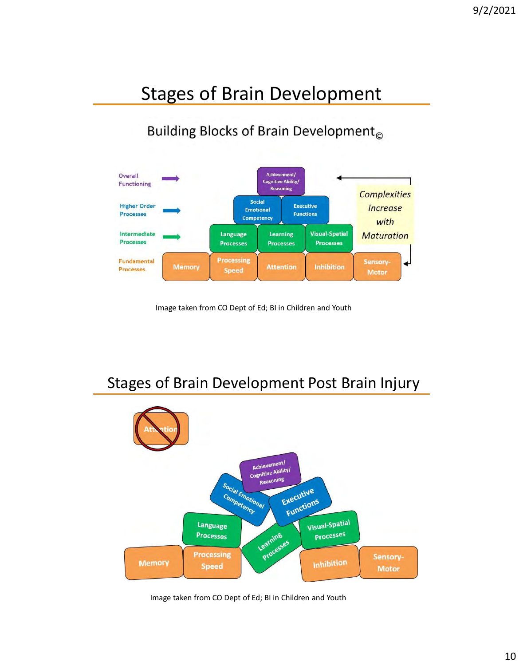# Stages of Brain Development

Building Blocks of Brain Development<sub>®</sub>



Image taken from CO Dept of Ed; BI in Children and Youth

Stages of Brain Development Post Brain Injury



Image taken from CO Dept of Ed; BI in Children and Youth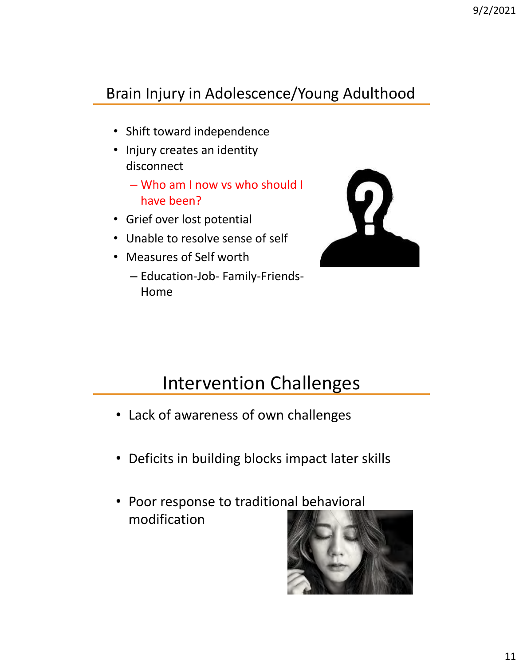#### Brain Injury in Adolescence/Young Adulthood

- Shift toward independence
- Injury creates an identity disconnect
	- Who am I now vs who should I have been?
- Grief over lost potential
- Unable to resolve sense of self
- Measures of Self worth
	- Education-Job- Family-Friends-Home



## Intervention Challenges

- Lack of awareness of own challenges
- Deficits in building blocks impact later skills
- Poor response to traditional behavioral modification

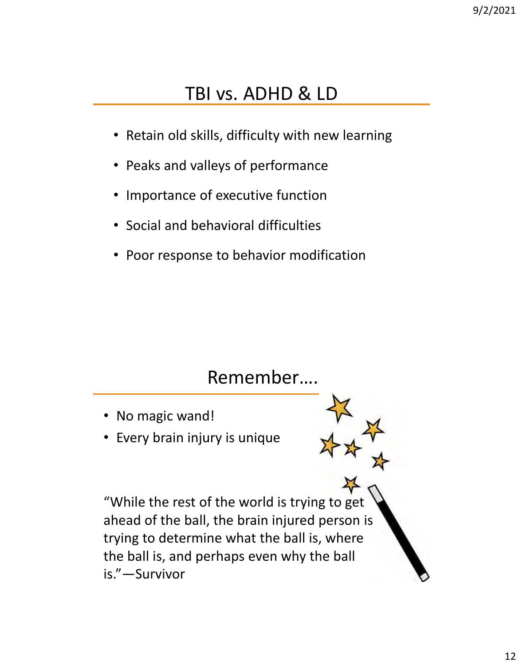# TBI vs. ADHD & LD

- Retain old skills, difficulty with new learning
- Peaks and valleys of performance
- Importance of executive function
- Social and behavioral difficulties
- Poor response to behavior modification

## Remember….

- No magic wand!
- Every brain injury is unique

"While the rest of the world is trying to get ahead of the ball, the brain injured person is trying to determine what the ball is, where the ball is, and perhaps even why the ball is."—Survivor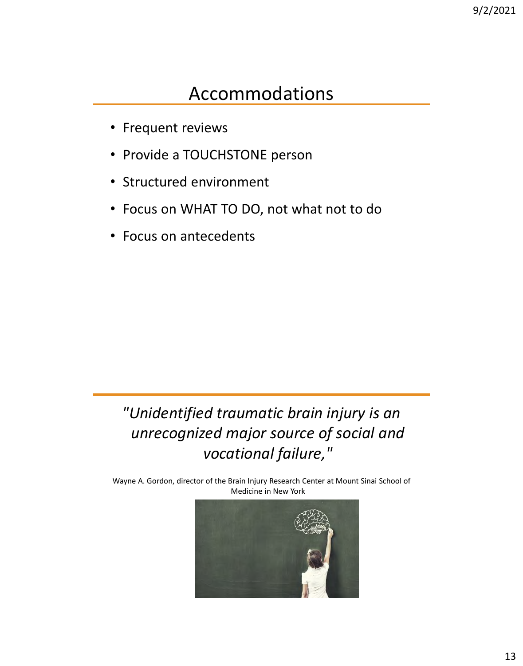## Accommodations

- Frequent reviews
- Provide a TOUCHSTONE person
- Structured environment
- Focus on WHAT TO DO, not what not to do
- Focus on antecedents

*"Unidentified traumatic brain injury is an unrecognized major source of social and vocational failure,"* 

Wayne A. Gordon, director of the Brain Injury Research Center at Mount Sinai School of Medicine in New York

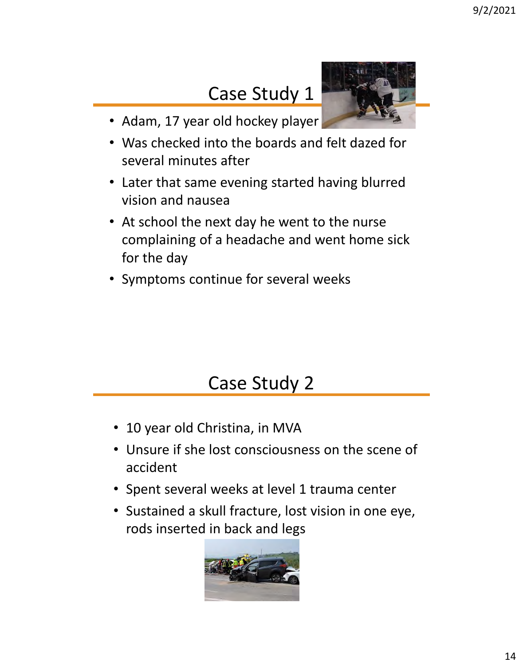# Case Study 1



- Adam, 17 year old hockey player
- Was checked into the boards and felt dazed for several minutes after
- Later that same evening started having blurred vision and nausea
- At school the next day he went to the nurse complaining of a headache and went home sick for the day
- Symptoms continue for several weeks

# Case Study 2

- 10 year old Christina, in MVA
- Unsure if she lost consciousness on the scene of accident
- Spent several weeks at level 1 trauma center
- Sustained a skull fracture, lost vision in one eye, rods inserted in back and legs